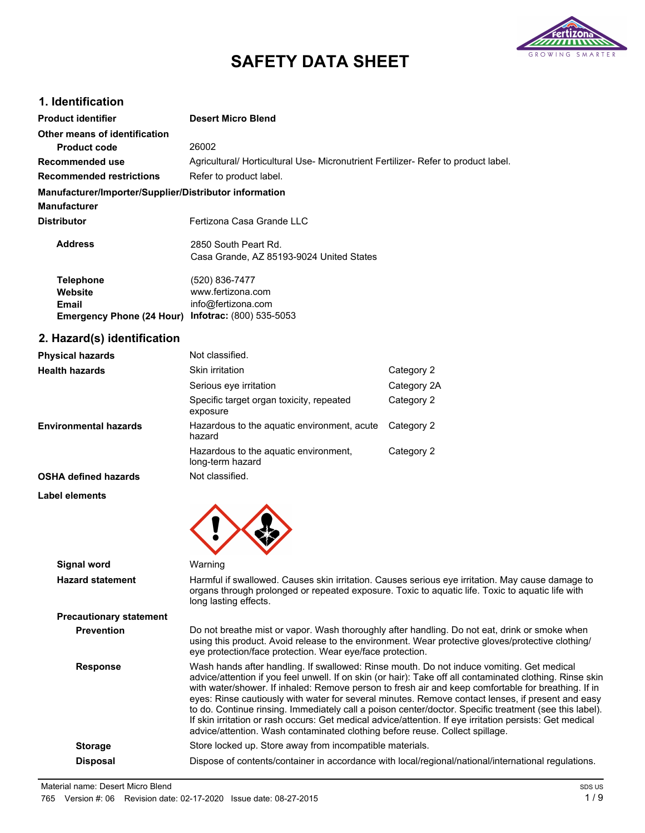

# **SAFETY DATA SHEET**

# **1. Identification**

| <b>Product identifier</b>                              | <b>Desert Micro Blend</b>                                                       |
|--------------------------------------------------------|---------------------------------------------------------------------------------|
| Other means of identification                          |                                                                                 |
| <b>Product code</b>                                    | 26002                                                                           |
| Recommended use                                        | Agricultural/Horticultural Use-Micronutrient Fertilizer-Refer to product label. |
| <b>Recommended restrictions</b>                        | Refer to product label.                                                         |
| Manufacturer/Importer/Supplier/Distributor information |                                                                                 |
| <b>Manufacturer</b>                                    |                                                                                 |
| <b>Distributor</b>                                     | Fertizona Casa Grande LLC                                                       |
| <b>Address</b>                                         | 2850 South Peart Rd.                                                            |
|                                                        | Casa Grande, AZ 85193-9024 United States                                        |
| <b>Telephone</b>                                       | (520) 836-7477                                                                  |
| Website                                                | www.fertizona.com                                                               |
| <b>Email</b>                                           | info@fertizona.com                                                              |

# **2. Hazard(s) identification**

**Emergency Phone (24 Hour)**

| <b>Physical hazards</b>      | Not classified.                                           |             |
|------------------------------|-----------------------------------------------------------|-------------|
| <b>Health hazards</b>        | Skin irritation                                           | Category 2  |
|                              | Serious eye irritation                                    | Category 2A |
|                              | Specific target organ toxicity, repeated<br>exposure      | Category 2  |
| <b>Environmental hazards</b> | Hazardous to the aquatic environment, acute<br>hazard     | Category 2  |
|                              | Hazardous to the aquatic environment,<br>long-term hazard | Category 2  |
| <b>OSHA defined hazards</b>  | Not classified.                                           |             |
| Label elements               |                                                           |             |

**Infotrac:** (800) 535-5053



| Signal word                    | Warning                                                                                                                                                                                                                                                                                                                                                                                                                                                                                                                                                                                                                                                                                                                  |
|--------------------------------|--------------------------------------------------------------------------------------------------------------------------------------------------------------------------------------------------------------------------------------------------------------------------------------------------------------------------------------------------------------------------------------------------------------------------------------------------------------------------------------------------------------------------------------------------------------------------------------------------------------------------------------------------------------------------------------------------------------------------|
| <b>Hazard statement</b>        | Harmful if swallowed. Causes skin irritation. Causes serious eye irritation. May cause damage to<br>organs through prolonged or repeated exposure. Toxic to aquatic life. Toxic to aquatic life with<br>long lasting effects.                                                                                                                                                                                                                                                                                                                                                                                                                                                                                            |
| <b>Precautionary statement</b> |                                                                                                                                                                                                                                                                                                                                                                                                                                                                                                                                                                                                                                                                                                                          |
| <b>Prevention</b>              | Do not breathe mist or vapor. Wash thoroughly after handling. Do not eat, drink or smoke when<br>using this product. Avoid release to the environment. Wear protective gloves/protective clothing/<br>eye protection/face protection. Wear eye/face protection.                                                                                                                                                                                                                                                                                                                                                                                                                                                          |
| <b>Response</b>                | Wash hands after handling. If swallowed: Rinse mouth. Do not induce vomiting. Get medical<br>advice/attention if you feel unwell. If on skin (or hair): Take off all contaminated clothing. Rinse skin<br>with water/shower. If inhaled: Remove person to fresh air and keep comfortable for breathing. If in<br>eyes: Rinse cautiously with water for several minutes. Remove contact lenses, if present and easy<br>to do. Continue rinsing. Immediately call a poison center/doctor. Specific treatment (see this label).<br>If skin irritation or rash occurs: Get medical advice/attention. If eye irritation persists: Get medical<br>advice/attention. Wash contaminated clothing before reuse. Collect spillage. |
| <b>Storage</b>                 | Store locked up. Store away from incompatible materials.                                                                                                                                                                                                                                                                                                                                                                                                                                                                                                                                                                                                                                                                 |
| <b>Disposal</b>                | Dispose of contents/container in accordance with local/regional/national/international regulations.                                                                                                                                                                                                                                                                                                                                                                                                                                                                                                                                                                                                                      |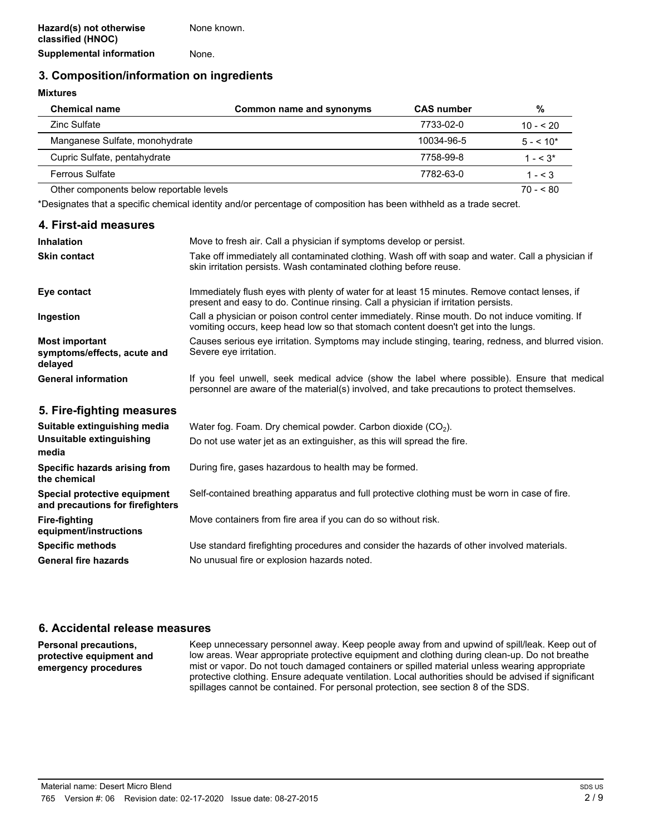# **3. Composition/information on ingredients**

#### **Mixtures**

| <b>Chemical name</b>                     | Common name and synonyms | <b>CAS number</b> | %          |
|------------------------------------------|--------------------------|-------------------|------------|
| Zinc Sulfate                             |                          | 7733-02-0         | $10 - 520$ |
| Manganese Sulfate, monohydrate           |                          | 10034-96-5        | $5 - 10*$  |
| Cupric Sulfate, pentahydrate             |                          | 7758-99-8         | $1 - 5.3*$ |
| <b>Ferrous Sulfate</b>                   |                          | 7782-63-0         | $1 - < 3$  |
| Other components below reportable levels |                          |                   | $70 - 80$  |

\*Designates that a specific chemical identity and/or percentage of composition has been withheld as a trade secret.

| 4. First-aid measures                                            |                                                                                                                                                                                              |
|------------------------------------------------------------------|----------------------------------------------------------------------------------------------------------------------------------------------------------------------------------------------|
| <b>Inhalation</b>                                                | Move to fresh air. Call a physician if symptoms develop or persist.                                                                                                                          |
| <b>Skin contact</b>                                              | Take off immediately all contaminated clothing. Wash off with soap and water. Call a physician if<br>skin irritation persists. Wash contaminated clothing before reuse.                      |
| Eye contact                                                      | Immediately flush eyes with plenty of water for at least 15 minutes. Remove contact lenses, if<br>present and easy to do. Continue rinsing. Call a physician if irritation persists.         |
| Ingestion                                                        | Call a physician or poison control center immediately. Rinse mouth. Do not induce vomiting. If<br>vomiting occurs, keep head low so that stomach content doesn't get into the lungs.         |
| <b>Most important</b><br>symptoms/effects, acute and<br>delayed  | Causes serious eye irritation. Symptoms may include stinging, tearing, redness, and blurred vision.<br>Severe eye irritation.                                                                |
| <b>General information</b>                                       | If you feel unwell, seek medical advice (show the label where possible). Ensure that medical<br>personnel are aware of the material(s) involved, and take precautions to protect themselves. |
| 5. Fire-fighting measures                                        |                                                                                                                                                                                              |
| Suitable extinguishing media                                     | Water fog. Foam. Dry chemical powder. Carbon dioxide $(CO2)$ .                                                                                                                               |
| Unsuitable extinguishing<br>media                                | Do not use water jet as an extinguisher, as this will spread the fire.                                                                                                                       |
| Specific hazards arising from<br>the chemical                    | During fire, gases hazardous to health may be formed.                                                                                                                                        |
| Special protective equipment<br>and precautions for firefighters | Self-contained breathing apparatus and full protective clothing must be worn in case of fire.                                                                                                |
| <b>Fire-fighting</b><br>equipment/instructions                   | Move containers from fire area if you can do so without risk.                                                                                                                                |
| <b>Specific methods</b>                                          | Use standard firefighting procedures and consider the hazards of other involved materials.                                                                                                   |
| <b>General fire hazards</b>                                      | No unusual fire or explosion hazards noted.                                                                                                                                                  |

#### **6. Accidental release measures**

**Personal precautions, protective equipment and emergency procedures**

Keep unnecessary personnel away. Keep people away from and upwind of spill/leak. Keep out of low areas. Wear appropriate protective equipment and clothing during clean-up. Do not breathe mist or vapor. Do not touch damaged containers or spilled material unless wearing appropriate protective clothing. Ensure adequate ventilation. Local authorities should be advised if significant spillages cannot be contained. For personal protection, see section 8 of the SDS.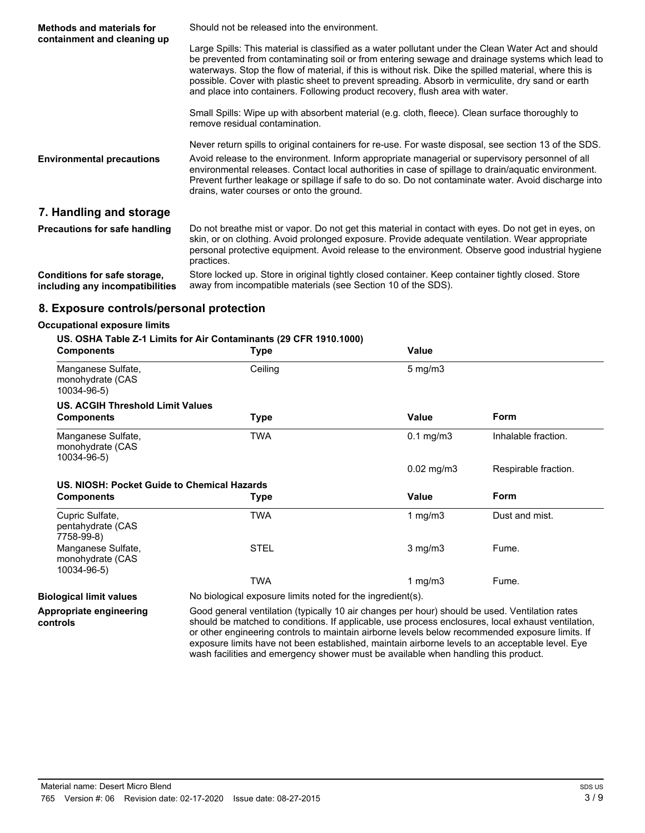| <b>Methods and materials for</b><br>containment and cleaning up | Should not be released into the environment.                                                                                                                                                                                                                                                                                                                                                                                                                                                            |
|-----------------------------------------------------------------|---------------------------------------------------------------------------------------------------------------------------------------------------------------------------------------------------------------------------------------------------------------------------------------------------------------------------------------------------------------------------------------------------------------------------------------------------------------------------------------------------------|
|                                                                 | Large Spills: This material is classified as a water pollutant under the Clean Water Act and should<br>be prevented from contaminating soil or from entering sewage and drainage systems which lead to<br>waterways. Stop the flow of material, if this is without risk. Dike the spilled material, where this is<br>possible. Cover with plastic sheet to prevent spreading. Absorb in vermiculite, dry sand or earth<br>and place into containers. Following product recovery, flush area with water. |
|                                                                 | Small Spills: Wipe up with absorbent material (e.g. cloth, fleece). Clean surface thoroughly to<br>remove residual contamination.                                                                                                                                                                                                                                                                                                                                                                       |
|                                                                 | Never return spills to original containers for re-use. For waste disposal, see section 13 of the SDS.                                                                                                                                                                                                                                                                                                                                                                                                   |
| <b>Environmental precautions</b>                                | Avoid release to the environment. Inform appropriate managerial or supervisory personnel of all<br>environmental releases. Contact local authorities in case of spillage to drain/aquatic environment.<br>Prevent further leakage or spillage if safe to do so. Do not contaminate water. Avoid discharge into<br>drains, water courses or onto the ground.                                                                                                                                             |
| 7. Handling and storage                                         |                                                                                                                                                                                                                                                                                                                                                                                                                                                                                                         |
| Precautions for safe handling                                   | Do not breathe mist or vapor. Do not get this material in contact with eyes. Do not get in eyes, on<br>skin, or on clothing. Avoid prolonged exposure. Provide adequate ventilation. Wear appropriate<br>personal protective equipment. Avoid release to the environment. Observe good industrial hygiene<br>practices.                                                                                                                                                                                 |
| Conditions for safe storage,<br>including any incompatibilities | Store locked up. Store in original tightly closed container. Keep container tightly closed. Store<br>away from incompatible materials (see Section 10 of the SDS).                                                                                                                                                                                                                                                                                                                                      |

### **8. Exposure controls/personal protection**

#### **Occupational exposure limits**

#### **US. OSHA Table Z-1 Limits for Air Contaminants (29 CFR 1910.1000)**

| <b>Components</b>                                     | <b>Type</b> | Value            |                      |
|-------------------------------------------------------|-------------|------------------|----------------------|
| Manganese Sulfate,<br>monohydrate (CAS<br>10034-96-5) | Ceiling     | $5 \text{ mg/m}$ |                      |
| <b>US. ACGIH Threshold Limit Values</b>               |             |                  |                      |
| <b>Components</b>                                     | <b>Type</b> | Value            | Form                 |
| Manganese Sulfate,<br>monohydrate (CAS<br>10034-96-5) | TWA         | $0.1$ mg/m $3$   | Inhalable fraction.  |
|                                                       |             |                  | Respirable fraction. |
|                                                       |             | $0.02$ mg/m $3$  |                      |
| US. NIOSH: Pocket Guide to Chemical Hazards           |             |                  |                      |
| <b>Components</b>                                     | <b>Type</b> | Value            | Form                 |
| Cupric Sulfate,<br>pentahydrate (CAS<br>7758-99-8)    | <b>TWA</b>  | 1 mg/m $3$       | Dust and mist.       |
| Manganese Sulfate,<br>monohydrate (CAS<br>10034-96-5) | <b>STEL</b> | $3$ mg/m $3$     | Fume.                |

**Appropriate engineering controls**

**Biological limit values** No biological exposure limits noted for the ingredient(s).

Good general ventilation (typically 10 air changes per hour) should be used. Ventilation rates should be matched to conditions. If applicable, use process enclosures, local exhaust ventilation, or other engineering controls to maintain airborne levels below recommended exposure limits. If exposure limits have not been established, maintain airborne levels to an acceptable level. Eye wash facilities and emergency shower must be available when handling this product.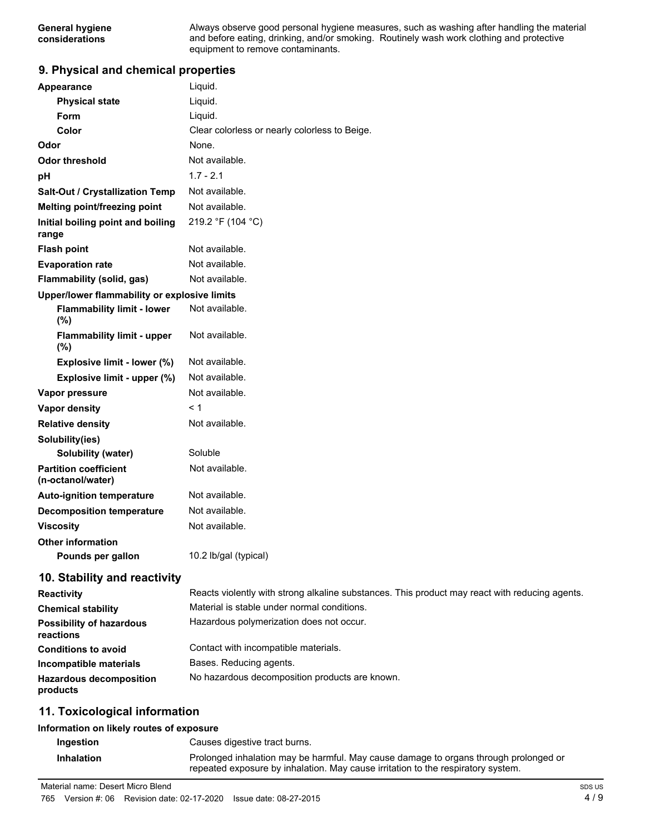Always observe good personal hygiene measures, such as washing after handling the material and before eating, drinking, and/or smoking. Routinely wash work clothing and protective equipment to remove contaminants.

#### **9. Physical and chemical properties**

| Appearance                                        | Liquid.                                                                                        |
|---------------------------------------------------|------------------------------------------------------------------------------------------------|
| <b>Physical state</b>                             | Liquid.                                                                                        |
| <b>Form</b>                                       | Liquid.                                                                                        |
| Color                                             | Clear colorless or nearly colorless to Beige.                                                  |
| Odor                                              | None.                                                                                          |
| <b>Odor threshold</b>                             | Not available.                                                                                 |
| рH                                                | $1.7 - 2.1$                                                                                    |
| Salt-Out / Crystallization Temp                   | Not available.                                                                                 |
| Melting point/freezing point                      | Not available.                                                                                 |
| Initial boiling point and boiling<br>range        | 219.2 °F (104 °C)                                                                              |
| <b>Flash point</b>                                | Not available.                                                                                 |
| <b>Evaporation rate</b>                           | Not available.                                                                                 |
| Flammability (solid, gas)                         | Not available.                                                                                 |
| Upper/lower flammability or explosive limits      |                                                                                                |
| <b>Flammability limit - lower</b><br>(%)          | Not available.                                                                                 |
| <b>Flammability limit - upper</b><br>(%)          | Not available.                                                                                 |
| Explosive limit - lower (%)                       | Not available.                                                                                 |
| Explosive limit - upper (%)                       | Not available.                                                                                 |
| Vapor pressure                                    | Not available.                                                                                 |
| Vapor density                                     | < 1                                                                                            |
| <b>Relative density</b>                           | Not available.                                                                                 |
| Solubility(ies)                                   |                                                                                                |
| Solubility (water)                                | Soluble                                                                                        |
| <b>Partition coefficient</b><br>(n-octanol/water) | Not available.                                                                                 |
| <b>Auto-ignition temperature</b>                  | Not available.                                                                                 |
| <b>Decomposition temperature</b>                  | Not available.                                                                                 |
| <b>Viscosity</b>                                  | Not available.                                                                                 |
| <b>Other information</b>                          |                                                                                                |
| Pounds per gallon                                 | 10.2 lb/gal (typical)                                                                          |
| 10. Stability and reactivity                      |                                                                                                |
| Reactivity                                        | Reacts violently with strong alkaline substances. This product may react with reducing agents. |
| <b>Chemical stability</b>                         | Material is stable under normal conditions.                                                    |
| <b>Possibility of hazardous</b><br>reactions      | Hazardous polymerization does not occur.                                                       |

**Conditions to avoid Incompatible materials Hazardous decomposition products** Contact with incompatible materials. Bases. Reducing agents. No hazardous decomposition products are known.

### **11. Toxicological information**

#### **Information on likely routes of exposure**

**Ingestion** Causes digestive tract burns. **Inhalation** Prolonged inhalation may be harmful. May cause damage to organs through prolonged or repeated exposure by inhalation. May cause irritation to the respiratory system.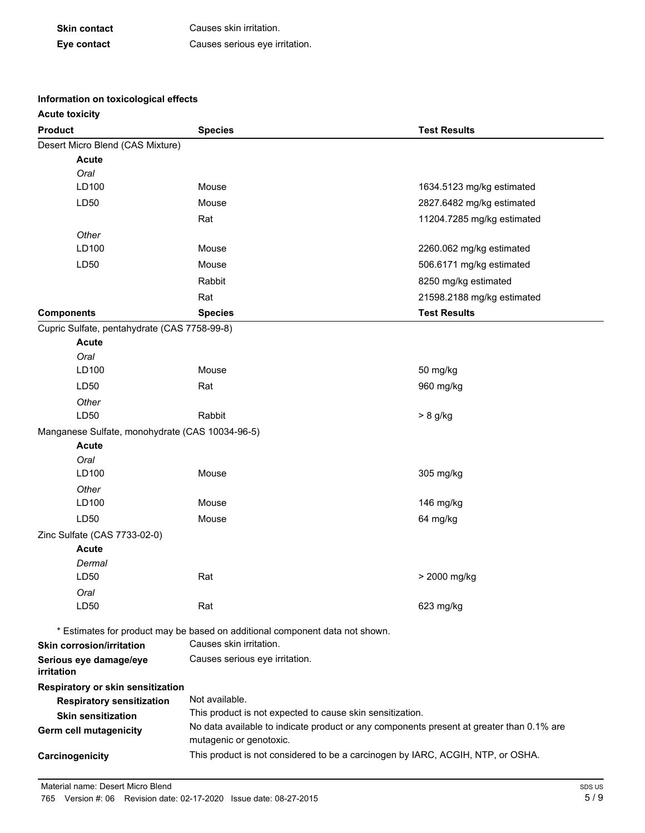| <b>Skin contact</b> | Causes skin irritation.        |
|---------------------|--------------------------------|
| Eye contact         | Causes serious eye irritation. |

# **Information on toxicological effects**

| <b>Acute toxicity</b>                           |                                                                                                                                                       |                            |
|-------------------------------------------------|-------------------------------------------------------------------------------------------------------------------------------------------------------|----------------------------|
| <b>Product</b>                                  | <b>Species</b>                                                                                                                                        | <b>Test Results</b>        |
| Desert Micro Blend (CAS Mixture)                |                                                                                                                                                       |                            |
| <b>Acute</b>                                    |                                                                                                                                                       |                            |
| Oral                                            |                                                                                                                                                       |                            |
| LD100                                           | Mouse                                                                                                                                                 | 1634.5123 mg/kg estimated  |
| LD50                                            | Mouse                                                                                                                                                 | 2827.6482 mg/kg estimated  |
|                                                 | Rat                                                                                                                                                   | 11204.7285 mg/kg estimated |
| Other                                           |                                                                                                                                                       |                            |
| LD100                                           | Mouse                                                                                                                                                 | 2260.062 mg/kg estimated   |
| LD50                                            | Mouse                                                                                                                                                 | 506.6171 mg/kg estimated   |
|                                                 | Rabbit                                                                                                                                                | 8250 mg/kg estimated       |
|                                                 | Rat                                                                                                                                                   | 21598.2188 mg/kg estimated |
| <b>Components</b>                               | <b>Species</b>                                                                                                                                        | <b>Test Results</b>        |
| Cupric Sulfate, pentahydrate (CAS 7758-99-8)    |                                                                                                                                                       |                            |
| <b>Acute</b>                                    |                                                                                                                                                       |                            |
| Oral                                            |                                                                                                                                                       |                            |
| LD100                                           | Mouse                                                                                                                                                 | 50 mg/kg                   |
| LD50                                            | Rat                                                                                                                                                   | 960 mg/kg                  |
| Other                                           |                                                                                                                                                       |                            |
| LD50                                            | Rabbit                                                                                                                                                | $> 8$ g/kg                 |
| Manganese Sulfate, monohydrate (CAS 10034-96-5) |                                                                                                                                                       |                            |
| <b>Acute</b>                                    |                                                                                                                                                       |                            |
| Oral<br>LD100                                   | Mouse                                                                                                                                                 | 305 mg/kg                  |
| Other                                           |                                                                                                                                                       |                            |
| LD100                                           | Mouse                                                                                                                                                 | 146 mg/kg                  |
| LD50                                            | Mouse                                                                                                                                                 | 64 mg/kg                   |
| Zinc Sulfate (CAS 7733-02-0)                    |                                                                                                                                                       |                            |
| <b>Acute</b>                                    |                                                                                                                                                       |                            |
| Dermal                                          |                                                                                                                                                       |                            |
| LD50                                            | Rat                                                                                                                                                   | > 2000 mg/kg               |
| Oral                                            |                                                                                                                                                       |                            |
| LD50                                            | Rat                                                                                                                                                   | 623 mg/kg                  |
|                                                 |                                                                                                                                                       |                            |
|                                                 | * Estimates for product may be based on additional component data not shown.<br>Causes skin irritation.                                               |                            |
| <b>Skin corrosion/irritation</b>                | Causes serious eye irritation.                                                                                                                        |                            |
| Serious eye damage/eye<br>irritation            |                                                                                                                                                       |                            |
| Respiratory or skin sensitization               |                                                                                                                                                       |                            |
| <b>Respiratory sensitization</b>                | Not available.                                                                                                                                        |                            |
| <b>Skin sensitization</b>                       | This product is not expected to cause skin sensitization.<br>No data available to indicate product or any components present at greater than 0.1% are |                            |
| Germ cell mutagenicity                          | mutagenic or genotoxic.                                                                                                                               |                            |
| Carcinogenicity                                 | This product is not considered to be a carcinogen by IARC, ACGIH, NTP, or OSHA.                                                                       |                            |
|                                                 |                                                                                                                                                       |                            |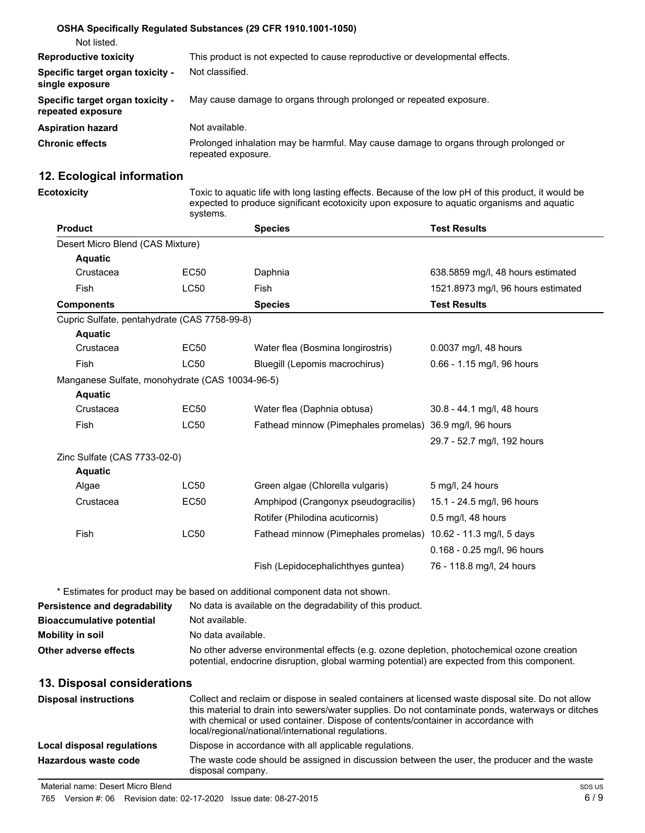|                                                       | OSHA Specifically Regulated Substances (29 CFR 1910.1001-1050)                                             |
|-------------------------------------------------------|------------------------------------------------------------------------------------------------------------|
| Not listed.                                           |                                                                                                            |
| <b>Reproductive toxicity</b>                          | This product is not expected to cause reproductive or developmental effects.                               |
| Specific target organ toxicity -<br>single exposure   | Not classified.                                                                                            |
| Specific target organ toxicity -<br>repeated exposure | May cause damage to organs through prolonged or repeated exposure.                                         |
| <b>Aspiration hazard</b>                              | Not available.                                                                                             |
| <b>Chronic effects</b>                                | Prolonged inhalation may be harmful. May cause damage to organs through prolonged or<br>repeated exposure. |

# **12. Ecological information**

**Ecotoxicity** Toxic to aquatic life with long lasting effects. Because of the low pH of this product, it would be expected to produce significant ecotoxicity upon exposure to aquatic organisms and aquatic systems.

| <b>Product</b>                                  |                    | <b>Species</b>                                                                                                                             | <b>Test Results</b>                |
|-------------------------------------------------|--------------------|--------------------------------------------------------------------------------------------------------------------------------------------|------------------------------------|
| Desert Micro Blend (CAS Mixture)                |                    |                                                                                                                                            |                                    |
| <b>Aquatic</b>                                  |                    |                                                                                                                                            |                                    |
| Crustacea                                       | <b>EC50</b>        | Daphnia                                                                                                                                    | 638.5859 mg/l, 48 hours estimated  |
| Fish                                            | <b>LC50</b>        | Fish                                                                                                                                       | 1521.8973 mg/l, 96 hours estimated |
| <b>Components</b>                               |                    | <b>Species</b>                                                                                                                             | <b>Test Results</b>                |
| Cupric Sulfate, pentahydrate (CAS 7758-99-8)    |                    |                                                                                                                                            |                                    |
| <b>Aquatic</b>                                  |                    |                                                                                                                                            |                                    |
| Crustacea                                       | <b>EC50</b>        | Water flea (Bosmina longirostris)                                                                                                          | 0.0037 mg/l, 48 hours              |
| <b>Fish</b>                                     | <b>LC50</b>        | Bluegill (Lepomis macrochirus)                                                                                                             | 0.66 - 1.15 mg/l, 96 hours         |
| Manganese Sulfate, monohydrate (CAS 10034-96-5) |                    |                                                                                                                                            |                                    |
| <b>Aquatic</b>                                  |                    |                                                                                                                                            |                                    |
| Crustacea                                       | <b>EC50</b>        | Water flea (Daphnia obtusa)                                                                                                                | 30.8 - 44.1 mg/l, 48 hours         |
| Fish                                            | <b>LC50</b>        | Fathead minnow (Pimephales promelas) 36.9 mg/l, 96 hours                                                                                   |                                    |
|                                                 |                    |                                                                                                                                            | 29.7 - 52.7 mg/l, 192 hours        |
| Zinc Sulfate (CAS 7733-02-0)                    |                    |                                                                                                                                            |                                    |
| <b>Aquatic</b>                                  |                    |                                                                                                                                            |                                    |
| Algae                                           | <b>LC50</b>        | Green algae (Chlorella vulgaris)                                                                                                           | 5 mg/l, 24 hours                   |
| Crustacea                                       | <b>EC50</b>        | Amphipod (Crangonyx pseudogracilis)                                                                                                        | 15.1 - 24.5 mg/l, 96 hours         |
|                                                 |                    | Rotifer (Philodina acuticornis)                                                                                                            | 0.5 mg/l, 48 hours                 |
| Fish                                            | LC50               | Fathead minnow (Pimephales promelas) 10.62 - 11.3 mg/l, 5 days                                                                             |                                    |
|                                                 |                    |                                                                                                                                            | 0.168 - 0.25 mg/l, 96 hours        |
|                                                 |                    | Fish (Lepidocephalichthyes guntea)                                                                                                         | 76 - 118.8 mg/l, 24 hours          |
|                                                 |                    |                                                                                                                                            |                                    |
| <b>Persistence and degradability</b>            |                    | * Estimates for product may be based on additional component data not shown.<br>No data is available on the degradability of this product. |                                    |
| <b>Bioaccumulative potential</b>                | Not available.     |                                                                                                                                            |                                    |
| <b>Mobility in soil</b>                         | No data available. |                                                                                                                                            |                                    |

#### **Other adverse effects** No other adverse environmental effects (e.g. ozone depletion, photochemical ozone creation potential, endocrine disruption, global warming potential) are expected from this component.

#### **13. Disposal considerations**

| <b>Disposal instructions</b> | Collect and reclaim or dispose in sealed containers at licensed waste disposal site. Do not allow<br>this material to drain into sewers/water supplies. Do not contaminate ponds, waterways or ditches<br>with chemical or used container. Dispose of contents/container in accordance with<br>local/regional/national/international regulations. |
|------------------------------|---------------------------------------------------------------------------------------------------------------------------------------------------------------------------------------------------------------------------------------------------------------------------------------------------------------------------------------------------|
| Local disposal regulations   | Dispose in accordance with all applicable regulations.                                                                                                                                                                                                                                                                                            |
| Hazardous waste code         | The waste code should be assigned in discussion between the user, the producer and the waste<br>disposal company.                                                                                                                                                                                                                                 |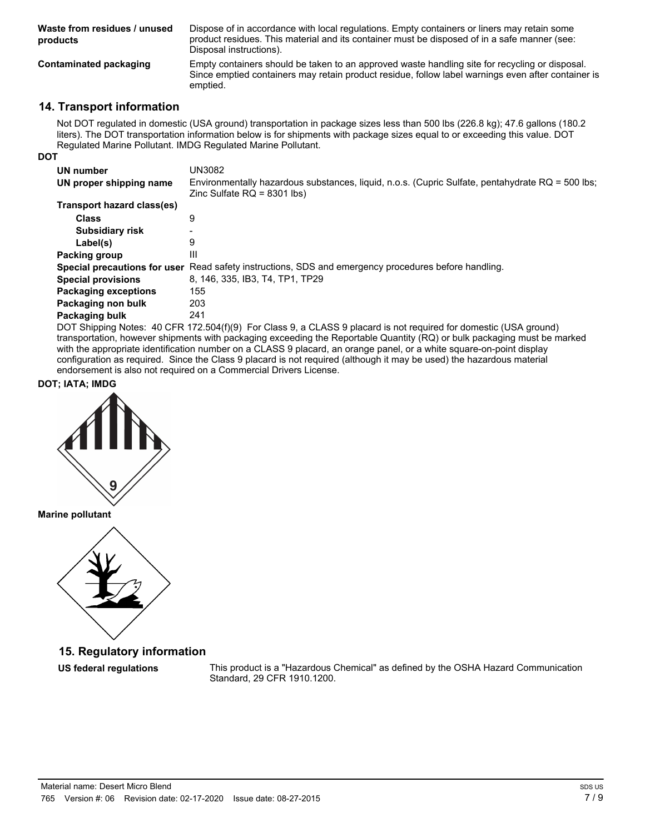| Waste from residues / unused<br>products | Dispose of in accordance with local regulations. Empty containers or liners may retain some<br>product residues. This material and its container must be disposed of in a safe manner (see:<br>Disposal instructions). |
|------------------------------------------|------------------------------------------------------------------------------------------------------------------------------------------------------------------------------------------------------------------------|
| Contaminated packaging                   | Empty containers should be taken to an approved waste handling site for recycling or disposal.<br>Since emptied containers may retain product residue, follow label warnings even after container is<br>emptied.       |

## **14. Transport information**

Not DOT regulated in domestic (USA ground) transportation in package sizes less than 500 lbs (226.8 kg); 47.6 gallons (180.2 liters). The DOT transportation information below is for shipments with package sizes equal to or exceeding this value. DOT Regulated Marine Pollutant. IMDG Regulated Marine Pollutant.

| I<br>٠<br>M.<br>v |
|-------------------|
|-------------------|

| UN number<br>UN proper shipping name | UN3082<br>Environmentally hazardous substances, liquid, n.o.s. (Cupric Sulfate, pentahydrate RQ = 500 lbs; |
|--------------------------------------|------------------------------------------------------------------------------------------------------------|
|                                      | Zinc Sulfate $RQ = 8301$ lbs)                                                                              |
| Transport hazard class(es)           |                                                                                                            |
| <b>Class</b>                         | 9                                                                                                          |
| <b>Subsidiary risk</b>               |                                                                                                            |
| Label(s)                             | 9                                                                                                          |
| Packing group                        | Ш                                                                                                          |
|                                      | Special precautions for user Read safety instructions, SDS and emergency procedures before handling.       |
| <b>Special provisions</b>            | 8. 146. 335. IB3. T4. TP1. TP29                                                                            |
| <b>Packaging exceptions</b>          | 155                                                                                                        |
| Packaging non bulk                   | 203                                                                                                        |
| Packaging bulk                       | 241                                                                                                        |
|                                      |                                                                                                            |

DOT Shipping Notes: 40 CFR 172.504(f)(9) For Class 9, a CLASS 9 placard is not required for domestic (USA ground) transportation, however shipments with packaging exceeding the Reportable Quantity (RQ) or bulk packaging must be marked with the appropriate identification number on a CLASS 9 placard, an orange panel, or a white square-on-point display configuration as required. Since the Class 9 placard is not required (although it may be used) the hazardous material endorsement is also not required on a Commercial Drivers License.

**DOT; IATA; IMDG**



**Marine pollutant**



**15. Regulatory information**

**US federal regulations** This product is a "Hazardous Chemical" as defined by the OSHA Hazard Communication Standard, 29 CFR 1910.1200.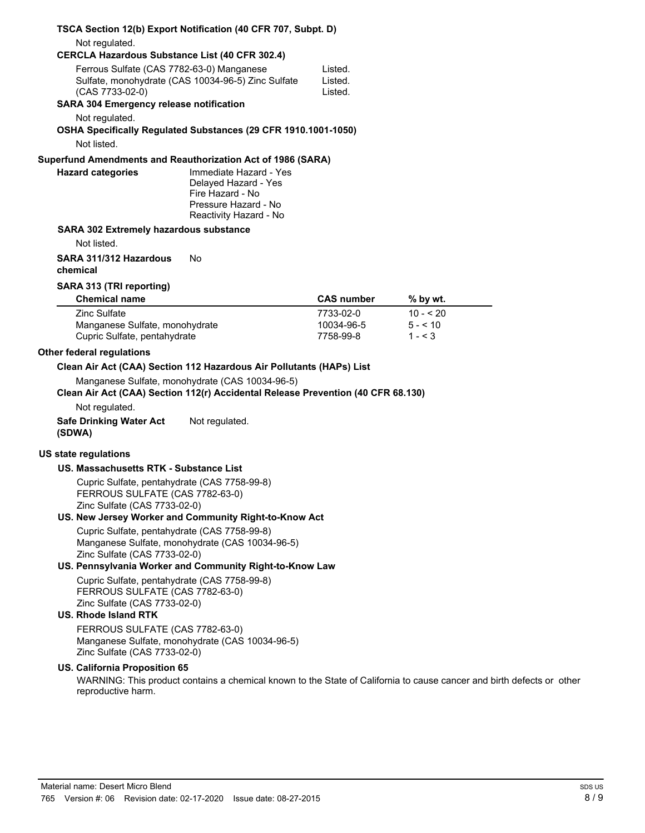|                                                                                                                 | TSCA Section 12(b) Export Notification (40 CFR 707, Subpt. D)                                                                       |                    |                                                                                                                       |  |
|-----------------------------------------------------------------------------------------------------------------|-------------------------------------------------------------------------------------------------------------------------------------|--------------------|-----------------------------------------------------------------------------------------------------------------------|--|
| Not regulated.                                                                                                  |                                                                                                                                     |                    |                                                                                                                       |  |
| <b>CERCLA Hazardous Substance List (40 CFR 302.4)</b>                                                           |                                                                                                                                     |                    |                                                                                                                       |  |
| Ferrous Sulfate (CAS 7782-63-0) Manganese<br>Sulfate, monohydrate (CAS 10034-96-5) Zinc Sulfate                 |                                                                                                                                     | Listed.<br>Listed. |                                                                                                                       |  |
| (CAS 7733-02-0)<br><b>SARA 304 Emergency release notification</b>                                               |                                                                                                                                     | Listed.            |                                                                                                                       |  |
| Not regulated.                                                                                                  |                                                                                                                                     |                    |                                                                                                                       |  |
| Not listed.                                                                                                     | OSHA Specifically Regulated Substances (29 CFR 1910.1001-1050)                                                                      |                    |                                                                                                                       |  |
|                                                                                                                 |                                                                                                                                     |                    |                                                                                                                       |  |
| Superfund Amendments and Reauthorization Act of 1986 (SARA)<br><b>Hazard categories</b>                         | Immediate Hazard - Yes<br>Delayed Hazard - Yes<br>Fire Hazard - No<br>Pressure Hazard - No<br>Reactivity Hazard - No                |                    |                                                                                                                       |  |
| <b>SARA 302 Extremely hazardous substance</b>                                                                   |                                                                                                                                     |                    |                                                                                                                       |  |
| Not listed.                                                                                                     |                                                                                                                                     |                    |                                                                                                                       |  |
| SARA 311/312 Hazardous<br>chemical                                                                              | No                                                                                                                                  |                    |                                                                                                                       |  |
| SARA 313 (TRI reporting)                                                                                        |                                                                                                                                     |                    |                                                                                                                       |  |
| <b>Chemical name</b>                                                                                            |                                                                                                                                     | <b>CAS number</b>  | % by wt.                                                                                                              |  |
| <b>Zinc Sulfate</b>                                                                                             |                                                                                                                                     | 7733-02-0          | $10 - 520$                                                                                                            |  |
| Manganese Sulfate, monohydrate                                                                                  |                                                                                                                                     | 10034-96-5         | $5 - 10$                                                                                                              |  |
| Cupric Sulfate, pentahydrate                                                                                    |                                                                                                                                     | 7758-99-8          | $1 - 3$                                                                                                               |  |
| <b>Other federal regulations</b>                                                                                |                                                                                                                                     |                    |                                                                                                                       |  |
|                                                                                                                 | Clean Air Act (CAA) Section 112 Hazardous Air Pollutants (HAPs) List                                                                |                    |                                                                                                                       |  |
|                                                                                                                 | Manganese Sulfate, monohydrate (CAS 10034-96-5)<br>Clean Air Act (CAA) Section 112(r) Accidental Release Prevention (40 CFR 68.130) |                    |                                                                                                                       |  |
| Not regulated.                                                                                                  |                                                                                                                                     |                    |                                                                                                                       |  |
| <b>Safe Drinking Water Act</b><br>(SDWA)                                                                        | Not regulated.                                                                                                                      |                    |                                                                                                                       |  |
| <b>US state regulations</b>                                                                                     |                                                                                                                                     |                    |                                                                                                                       |  |
| US. Massachusetts RTK - Substance List                                                                          |                                                                                                                                     |                    |                                                                                                                       |  |
| Cupric Sulfate, pentahydrate (CAS 7758-99-8)<br>FERROUS SULFATE (CAS 7782-63-0)<br>Zinc Sulfate (CAS 7733-02-0) | US. New Jersey Worker and Community Right-to-Know Act                                                                               |                    |                                                                                                                       |  |
| Cupric Sulfate, pentahydrate (CAS 7758-99-8)                                                                    |                                                                                                                                     |                    |                                                                                                                       |  |
| Zinc Sulfate (CAS 7733-02-0)                                                                                    | Manganese Sulfate, monohydrate (CAS 10034-96-5)                                                                                     |                    |                                                                                                                       |  |
|                                                                                                                 | US. Pennsylvania Worker and Community Right-to-Know Law                                                                             |                    |                                                                                                                       |  |
| Cupric Sulfate, pentahydrate (CAS 7758-99-8)<br>FERROUS SULFATE (CAS 7782-63-0)<br>Zinc Sulfate (CAS 7733-02-0) |                                                                                                                                     |                    |                                                                                                                       |  |
| US. Rhode Island RTK                                                                                            |                                                                                                                                     |                    |                                                                                                                       |  |
| FERROUS SULFATE (CAS 7782-63-0)<br>Zinc Sulfate (CAS 7733-02-0)                                                 | Manganese Sulfate, monohydrate (CAS 10034-96-5)                                                                                     |                    |                                                                                                                       |  |
| <b>US. California Proposition 65</b>                                                                            |                                                                                                                                     |                    | WARNING: This product contains a chemical known to the State of California to cause cancer and birth defects or other |  |
| reproductive harm.                                                                                              |                                                                                                                                     |                    |                                                                                                                       |  |